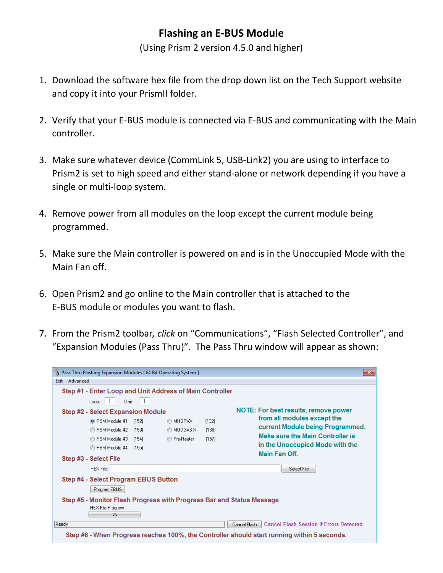## **Flashing an E‐BUS Module**

(Using Prism 2 version 4.5.0 and higher)

- 1. Download the software hex file from the drop down list on the Tech Support website and copy it into your PrismII folder.
- 2. Verify that your E‐BUS module is connected via E‐BUS and communicating with the Main controller.
- 3. Make sure whatever device (CommLink 5, USB‐Link2) you are using to interface to Prism2 is set to high speed and either stand‐alone or network depending if you have a single or multi‐loop system.
- 4. Remove power from all modules on the loop except the current module being programmed.
- 5. Make sure the Main controller is powered on and is in the Unoccupied Mode with the Main Fan off.
- 6. Open Prism2 and go online to the Main controller that is attached to the E‐BUS module or modules you want to flash.
- 7. From the Prism2 toolbar*, click* on "Communications", "Flash Selected Controller", and "Expansion Modules (Pass Thru)". The Pass Thru window will appear as shown:

| Pass Thru Flashing Expansion Modules [64 Bit Operating System ]                                                                                                                                                                                                                                                                                                                                                                                                                                                                                      | $\mathbf{x}$                                                                                                                                                                                                                                                                     |
|------------------------------------------------------------------------------------------------------------------------------------------------------------------------------------------------------------------------------------------------------------------------------------------------------------------------------------------------------------------------------------------------------------------------------------------------------------------------------------------------------------------------------------------------------|----------------------------------------------------------------------------------------------------------------------------------------------------------------------------------------------------------------------------------------------------------------------------------|
| Advanced<br>Exit                                                                                                                                                                                                                                                                                                                                                                                                                                                                                                                                     |                                                                                                                                                                                                                                                                                  |
| Step #1 - Enter Loop and Unit Address of Main Controller<br>Unit:<br>$\overline{1}$<br>Loop:                                                                                                                                                                                                                                                                                                                                                                                                                                                         |                                                                                                                                                                                                                                                                                  |
| <b>Step #2 - Select Expansion Module</b><br>C RSM Module #1<br>(132)<br>(152)<br>O MHGRVX<br>◯ RSM Module #2<br>MODGAS-X<br>(138)<br>(153)<br>6 RSM Module #3<br><b>Pre-Heater</b><br>(157)<br>(154)<br>6 RSM Module #4<br>(155)<br>Step #3 - Select File<br>HEX File:<br>Step #4 - Select Program EBUS Button<br>Program EBUS<br>Step #5 - Monitor Flash Progress with Progress Bar and Status Message<br><b>HEX File Progress</b><br>$0\%$<br>Ready<br>Step #6 - When Progress reaches 100%, the Controller should start running within 5 seconds. | NOTE: For best results, remove power<br>from all modules except the<br>current Module being Programmed.<br>Make sure the Main Controller is<br>in the Unoccupied Mode with the<br>Main Fan Off.<br>Select File<br><b>Cancel Flash Session if Errors Detected</b><br>Cancel Flash |